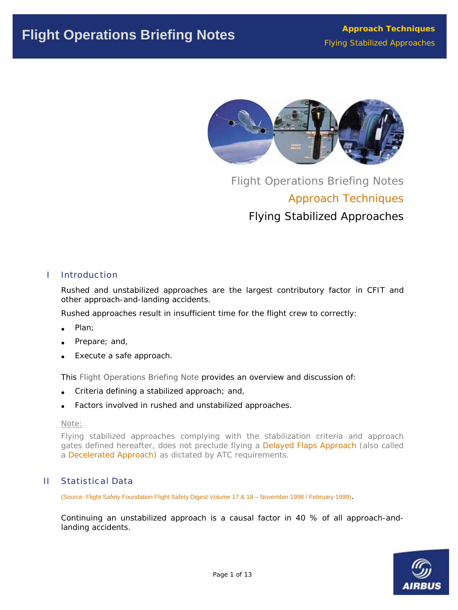

Flight Operations Briefing Notes Approach Techniques Flying Stabilized Approaches

# I Introduction

Rushed and unstabilized approaches are the largest contributory factor in CFIT and other approach-and-landing accidents.

Rushed approaches result in insufficient time for the flight crew to correctly:

- Plan:
- Prepare; and,
- Execute a safe approach.

This Flight Operations Briefing Note provides an overview and discussion of:

- Criteria defining a stabilized approach; and,
- Factors involved in rushed and unstabilized approaches.

#### *Note:*

*Flying stabilized approaches complying with the stabilization criteria and approach gates defined hereafter, does not preclude flying a Delayed Flaps Approach (also called a Decelerated Approach) as dictated by ATC requirements.* 

# II Statistical Data

(Source: Flight Safety Foundation Flight Safety Digest Volume 17 & 18 – November 1998 / February 1999).

Continuing an unstabilized approach is a causal factor in 40 % of all approach-andlanding accidents.

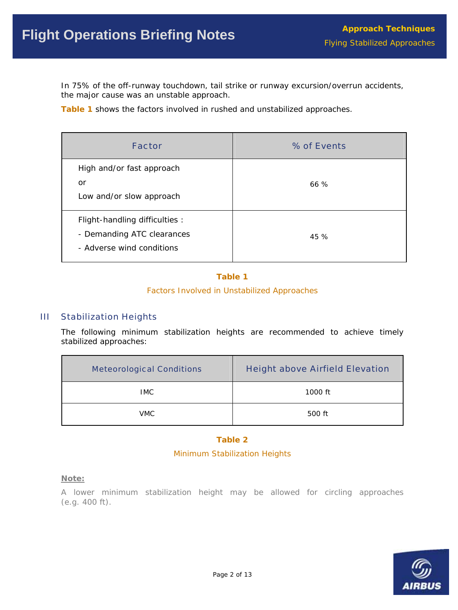In 75% of the off-runway touchdown, tail strike or runway excursion/overrun accidents, the major cause was an unstable approach.

**Table 1** shows the factors involved in rushed and unstabilized approaches.

| <b>Factor</b>                                                                             | % of Events |
|-------------------------------------------------------------------------------------------|-------------|
| High and/or fast approach<br>or<br>Low and/or slow approach                               | 66%         |
| Flight-handling difficulties :<br>- Demanding ATC clearances<br>- Adverse wind conditions | 45 %        |

# **Table 1**

*Factors Involved in Unstabilized Approaches* 

## III Stabilization Heights

The following minimum stabilization heights are recommended to achieve timely stabilized approaches:

| <b>Meteorological Conditions</b> | <b>Height above Airfield Elevation</b> |
|----------------------------------|----------------------------------------|
| IMC.                             | 1000 ft                                |
| <b>VMC</b>                       | 500 ft                                 |

## **Table 2**

## *Minimum Stabilization Heights*

## *Note:*

*A lower minimum stabilization height may be allowed for circling approaches (e.g. 400 ft).* 

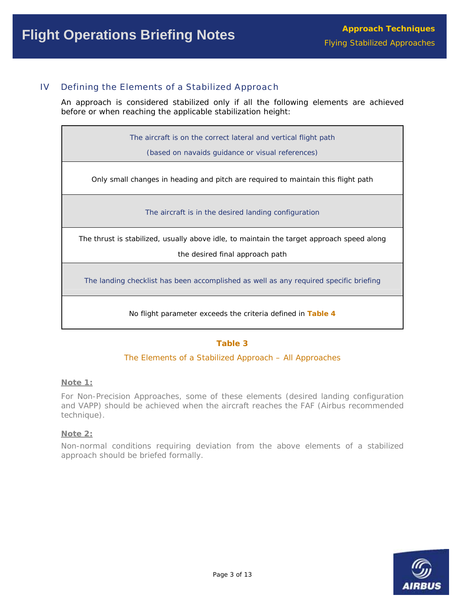# IV Defining the Elements of a Stabilized Approach

An approach is considered stabilized only if all the following elements are achieved before or when reaching the applicable stabilization height:

The aircraft is on the correct lateral and vertical flight path

(based on navaids guidance or visual references)

Only small changes in heading and pitch are required to maintain this flight path

The aircraft is in the desired landing configuration

The thrust is stabilized, usually above idle, to maintain the target approach speed along

the desired final approach path

The landing checklist has been accomplished as well as any required specific briefing

No flight parameter exceeds the criteria defined in **Table 4**

## **Table 3**

#### *The Elements of a Stabilized Approach – All Approaches*

#### *Note 1:*

*For Non-Precision Approaches, some of these elements (desired landing configuration and VAPP) should be achieved when the aircraft reaches the FAF (Airbus recommended technique).* 

#### *Note 2:*

*Non-normal conditions requiring deviation from the above elements of a stabilized approach should be briefed formally.* 

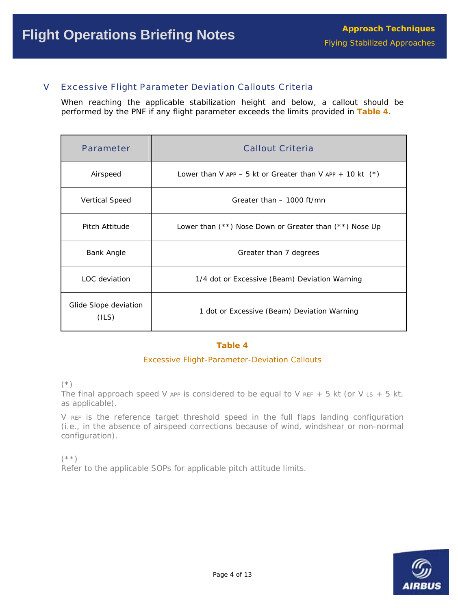# V Excessive Flight Parameter Deviation Callouts Criteria

When reaching the applicable stabilization height and below, a callout should be performed by the PNF if any flight parameter exceeds the limits provided in **Table 4**.

| <b>Parameter</b>               | <b>Callout Criteria</b>                                      |
|--------------------------------|--------------------------------------------------------------|
| Airspeed                       | Lower than V APP $-5$ kt or Greater than V APP $+$ 10 kt (*) |
| <b>Vertical Speed</b>          | Greater than - 1000 ft/mn                                    |
| Pitch Attitude                 | Lower than $(**)$ Nose Down or Greater than $(**)$ Nose Up   |
| Bank Angle                     | Greater than 7 degrees                                       |
| LOC deviation                  | 1/4 dot or Excessive (Beam) Deviation Warning                |
| Glide Slope deviation<br>(ILS) | 1 dot or Excessive (Beam) Deviation Warning                  |

#### **Table 4**

## *Excessive Flight-Parameter-Deviation Callouts*

*(\*)* 

The final approach speed V APP is considered to be equal to V REF + 5 kt (or V Ls + 5 kt, *as applicable).* 

*V REF is the reference target threshold speed in the full flaps landing configuration (i.e., in the absence of airspeed corrections because of wind, windshear or non-normal configuration).* 

*(\*\*) Refer to the applicable SOPs for applicable pitch attitude limits.* 

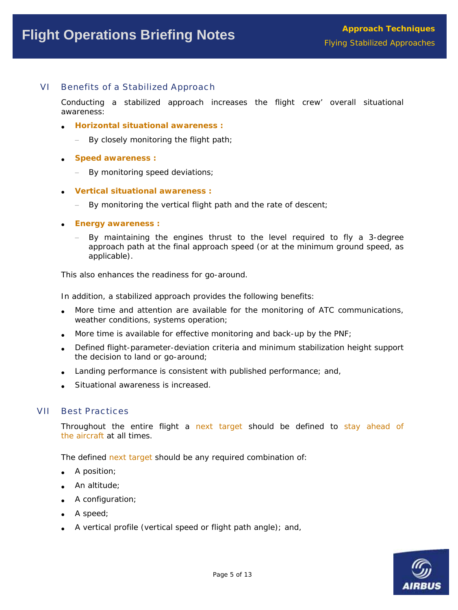# VI Benefits of a Stabilized Approach

Conducting a stabilized approach increases the flight crew' overall situational awareness:

- **Horizontal situational awareness :**
	- By closely monitoring the flight path;
- **Speed awareness :**
	- − By monitoring speed deviations;
- **Vertical situational awareness :**
	- − By monitoring the vertical flight path and the rate of descent;
- **Energy awareness :**
	- By maintaining the engines thrust to the level required to fly a 3-degree approach path at the final approach speed (or at the minimum ground speed, as applicable).

This also enhances the readiness for go-around.

In addition, a stabilized approach provides the following benefits:

- More time and attention are available for the monitoring of ATC communications, weather conditions, systems operation;
- More time is available for effective monitoring and back-up by the PNF;
- Defined flight-parameter-deviation criteria and minimum stabilization height support the decision to land or go-around;
- Landing performance is consistent with published performance; and,
- Situational awareness is increased.

## VII Best Practices

Throughout the entire flight a next target should be defined to stay ahead of the aircraft at all times.

The defined next target should be any required combination of:

- A position;
- An altitude;
- A configuration;
- A speed;
- A vertical profile (vertical speed or flight path angle); and,

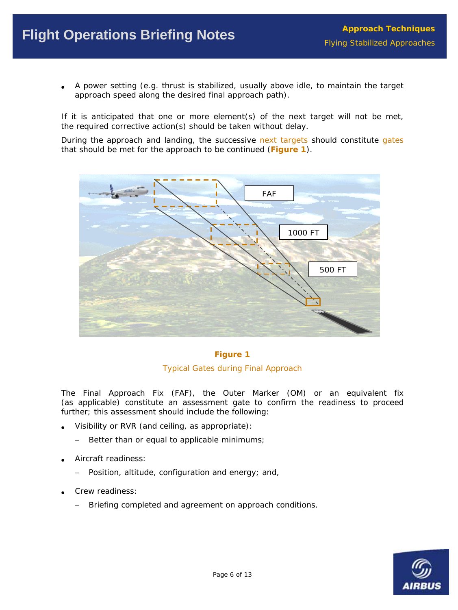• A power setting (e.g. thrust is stabilized, usually above idle, to maintain the target approach speed along the desired final approach path).

If it is anticipated that one or more element(s) of the next target will not be met, the required corrective action(s) should be taken without delay.

During the approach and landing, the successive next targets should constitute gates that should be met for the approach to be continued (**Figure 1**).



## **Figure 1**

#### *Typical Gates during Final Approach*

The Final Approach Fix (FAF), the Outer Marker (OM) or an equivalent fix (as applicable) constitute an assessment gate to confirm the readiness to proceed further; this assessment should include the following:

- Visibility or RVR (and ceiling, as appropriate):
	- − Better than or equal to applicable minimums;
- Aircraft readiness:
	- − Position, altitude, configuration and energy; and,
- Crew readiness:
	- − Briefing completed and agreement on approach conditions.

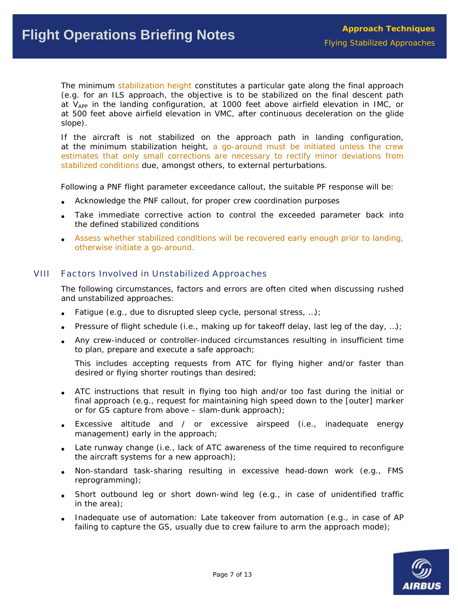The minimum stabilization height constitutes a particular gate along the final approach (e.g. for an ILS approach, the objective is to be stabilized on the final descent path at V<sub>APP</sub> in the landing configuration, at 1000 feet above airfield elevation in IMC, or at 500 feet above airfield elevation in VMC, after continuous deceleration on the glide slope).

If the aircraft is not stabilized on the approach path in landing configuration, at the minimum stabilization height, a go-around must be initiated unless the crew estimates that only small corrections are necessary to rectify minor deviations from stabilized conditions due, amongst others, to external perturbations.

Following a PNF flight parameter exceedance callout, the suitable PF response will be:

- Acknowledge the PNF callout, for proper crew coordination purposes
- Take immediate corrective action to control the exceeded parameter back into the defined stabilized conditions
- Assess whether stabilized conditions will be recovered early enough prior to landing, otherwise initiate a go-around.

# VIII Factors Involved in Unstabilized Approaches

The following circumstances, factors and errors are often cited when discussing rushed and unstabilized approaches:

- Fatigue (e.g., due to disrupted sleep cycle, personal stress, ...);
- Pressure of flight schedule (i.e., making up for takeoff delay, last leg of the day, ...);
- Any crew-induced or controller-induced circumstances resulting in insufficient time to plan, prepare and execute a safe approach;

This includes accepting requests from ATC for flying higher and/or faster than desired or flying shorter routings than desired;

- ATC instructions that result in flying too high and/or too fast during the initial or final approach (e.g., request for maintaining high speed down to the [outer] marker or for GS capture from above – slam-dunk approach);
- Excessive altitude and / or excessive airspeed (i.e., inadequate energy management) early in the approach;
- Late runway change (i.e., lack of ATC awareness of the time required to reconfigure the aircraft systems for a new approach);
- Non-standard task-sharing resulting in excessive head-down work (e.g., FMS reprogramming);
- Short outbound leg or short down-wind leg (e.g., in case of unidentified traffic in the area);
- Inadequate use of automation: Late takeover from automation (e.g., in case of AP failing to capture the GS, usually due to crew failure to arm the approach mode);

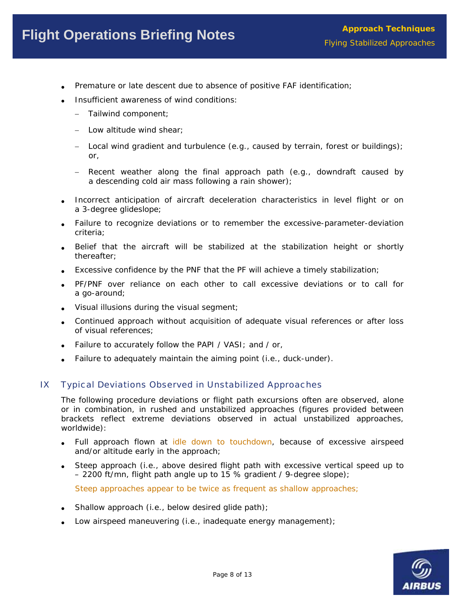- Premature or late descent due to absence of positive FAF identification;
- Insufficient awareness of wind conditions:
	- − Tailwind component;
	- − Low altitude wind shear;
	- − Local wind gradient and turbulence (e.g., caused by terrain, forest or buildings); or,
	- − Recent weather along the final approach path (e.g., downdraft caused by a descending cold air mass following a rain shower);
- Incorrect anticipation of aircraft deceleration characteristics in level flight or on a 3-degree glideslope;
- Failure to recognize deviations or to remember the excessive-parameter-deviation criteria;
- Belief that the aircraft will be stabilized at the stabilization height or shortly thereafter;
- Excessive confidence by the PNF that the PF will achieve a timely stabilization;
- PF/PNF over reliance on each other to call excessive deviations or to call for a go-around;
- Visual illusions during the visual segment;
- Continued approach without acquisition of adequate visual references or after loss of visual references;
- Failure to accurately follow the PAPI / VASI; and / or,
- Failure to adequately maintain the aiming point (i.e., duck-under).

# IX Typical Deviations Observed in Unstabilized Approaches

The following procedure deviations or flight path excursions often are observed, alone or in combination, in rushed and unstabilized approaches (figures provided between brackets reflect extreme deviations observed in actual unstabilized approaches, worldwide):

- Full approach flown at idle down to touchdown, because of excessive airspeed and/or altitude early in the approach;
- Steep approach (i.e., above desired flight path with excessive vertical speed up to – 2200 ft/mn, flight path angle up to 15 % gradient / 9-degree slope);

Steep approaches appear to be twice as frequent as shallow approaches;

- Shallow approach (i.e., below desired glide path);
- Low airspeed maneuvering (i.e., inadequate energy management);

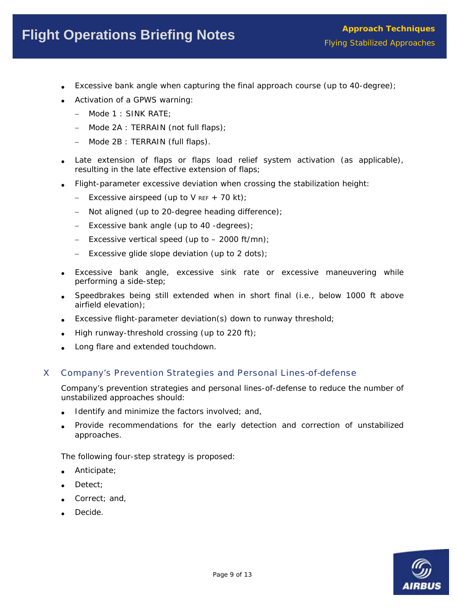# Flight Operations Briefing Notes **Flight Operations** Briefing Notes

- Excessive bank angle when capturing the final approach course (up to 40-degree);
- Activation of a GPWS warning:
	- − Mode 1 : SINK RATE;
	- − Mode 2A : TERRAIN (not full flaps);
	- − Mode 2B : TERRAIN (full flaps).
- Late extension of flaps or flaps load relief system activation (as applicable), resulting in the late effective extension of flaps;
- Flight-parameter excessive deviation when crossing the stabilization height:
	- − Excessive airspeed (up to V REF + 70 kt);
	- − Not aligned (up to 20-degree heading difference);
	- − Excessive bank angle (up to 40 -degrees);
	- − Excessive vertical speed (up to 2000 ft/mn);
	- − Excessive glide slope deviation (up to 2 dots);
- Excessive bank angle, excessive sink rate or excessive maneuvering while performing a side-step;
- Speedbrakes being still extended when in short final (i.e., below 1000 ft above airfield elevation);
- Excessive flight-parameter deviation(s) down to runway threshold;
- High runway-threshold crossing (up to 220 ft);
- Long flare and extended touchdown.

# X Company's Prevention Strategies and Personal Lines-of-defense

Company's prevention strategies and personal lines-of-defense to reduce the number of unstabilized approaches should:

- Identify and minimize the factors involved; and,
- Provide recommendations for the early detection and correction of unstabilized approaches.

The following four-step strategy is proposed:

- Anticipate;
- Detect:
- Correct; and,
- Decide.

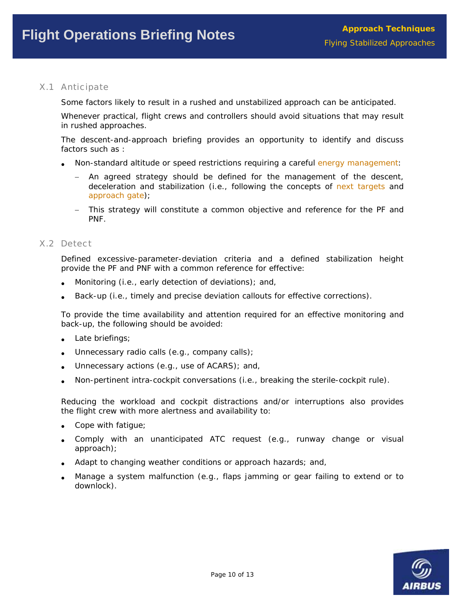# X.1 Anticipate

Some factors likely to result in a rushed and unstabilized approach can be anticipated.

Whenever practical, flight crews and controllers should avoid situations that may result in rushed approaches.

The descent-and-approach briefing provides an opportunity to identify and discuss factors such as :

- Non-standard altitude or speed restrictions requiring a careful energy management:
	- − An agreed strategy should be defined for the management of the descent, deceleration and stabilization (i.e., following the concepts of next targets and approach gate);
	- − This strategy will constitute a common objective and reference for the PF and PNF.

#### X.2 Detect

Defined excessive-parameter-deviation criteria and a defined stabilization height provide the PF and PNF with a common reference for effective:

- Monitoring (i.e., early detection of deviations); and,
- Back-up (i.e., timely and precise deviation callouts for effective corrections).

To provide the time availability and attention required for an effective monitoring and back-up, the following should be avoided:

- Late briefings;
- Unnecessary radio calls (e.g., company calls);
- Unnecessary actions (e.g., use of ACARS); and,
- Non-pertinent intra-cockpit conversations (i.e., breaking the sterile-cockpit rule).

Reducing the workload and cockpit distractions and/or interruptions also provides the flight crew with more alertness and availability to:

- Cope with fatigue;
- Comply with an unanticipated ATC request (e.g., runway change or visual approach);
- Adapt to changing weather conditions or approach hazards; and,
- Manage a system malfunction (e.g., flaps jamming or gear failing to extend or to downlock).

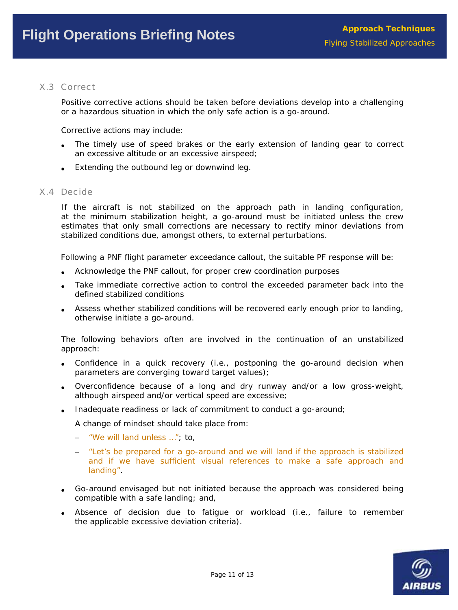## X.3 Correct

Positive corrective actions should be taken before deviations develop into a challenging or a hazardous situation in which the only safe action is a go-around.

Corrective actions may include:

- The timely use of speed brakes or the early extension of landing gear to correct an excessive altitude or an excessive airspeed;
- Extending the outbound leg or downwind leg.

#### X.4 Decide

If the aircraft is not stabilized on the approach path in landing configuration, at the minimum stabilization height, a go-around must be initiated unless the crew estimates that only small corrections are necessary to rectify minor deviations from stabilized conditions due, amongst others, to external perturbations.

Following a PNF flight parameter exceedance callout, the suitable PF response will be:

- Acknowledge the PNF callout, for proper crew coordination purposes
- Take immediate corrective action to control the exceeded parameter back into the defined stabilized conditions
- Assess whether stabilized conditions will be recovered early enough prior to landing, otherwise initiate a go-around.

The following behaviors often are involved in the continuation of an unstabilized approach:

- Confidence in a quick recovery (i.e., postponing the go-around decision when parameters are converging toward target values);
- Overconfidence because of a long and dry runway and/or a low gross-weight, although airspeed and/or vertical speed are excessive;
- Inadequate readiness or lack of commitment to conduct a go-around;

A change of mindset should take place from:

- − "We will land unless …"; to,
- − "Let's be prepared for a go-around and we will land if the approach is stabilized and if we have sufficient visual references to make a safe approach and landing".
- Go-around envisaged but not initiated because the approach was considered being compatible with a safe landing; and,
- Absence of decision due to fatigue or workload (i.e., failure to remember the applicable excessive deviation criteria).

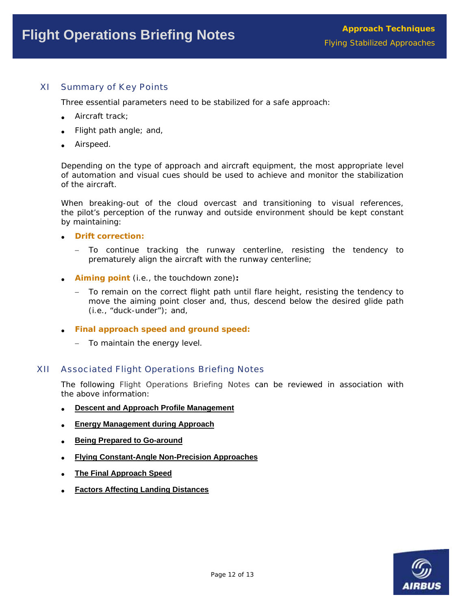# XI Summary of Key Points

Three essential parameters need to be stabilized for a safe approach:

- Aircraft track:
- Flight path angle; and,
- Airspeed.

Depending on the type of approach and aircraft equipment, the most appropriate level of automation and visual cues should be used to achieve and monitor the stabilization of the aircraft.

When breaking-out of the cloud overcast and transitioning to visual references, the pilot's perception of the runway and outside environment should be kept constant by maintaining:

#### • **Drift correction:**

- − To continue tracking the runway centerline, resisting the tendency to prematurely align the aircraft with the runway centerline;
- **Aiming point** (i.e., the touchdown zone)**:**
	- To remain on the correct flight path until flare height, resisting the tendency to move the aiming point closer and, thus, descend below the desired glide path (i.e., "duck-under"); and,
- **Final approach speed and ground speed:**
	- − To maintain the energy level.

#### XII Associated Flight Operations Briefing Notes

The following Flight Operations Briefing Notes can be reviewed in association with the above information:

- **[Descent and Approach Profile Management](http://www.airbus.com/store/mm_repository/safety_library_items/att00008511/media_object_file_FLT_OPS-DESC-SEQ02.pdf)**
- **[Energy Management during Approach](http://www.airbus.com/store/mm_repository/safety_library_items/att00006080/media_object_file_FLT_OPS-APPR-SEQ03.pdf)**
- **Being Prepared to Go-around**
- **Flying Constant-Angle Non-Precision Approaches**
- **The Final Approach Speed**
- **Factors Affecting Landing Distances**